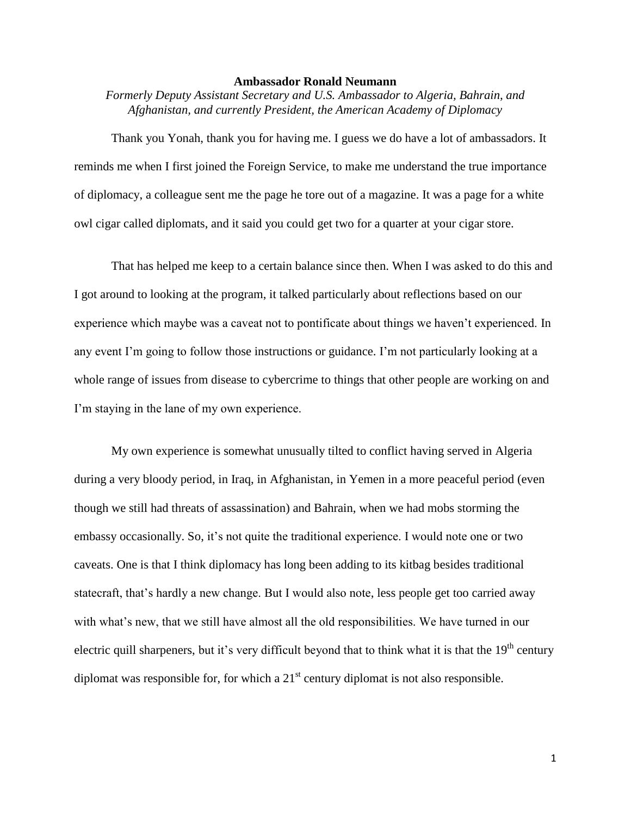## **Ambassador Ronald Neumann**

*Formerly Deputy Assistant Secretary and U.S. Ambassador to Algeria, Bahrain, and Afghanistan, and currently President, the American Academy of Diplomacy*

Thank you Yonah, thank you for having me. I guess we do have a lot of ambassadors. It reminds me when I first joined the Foreign Service, to make me understand the true importance of diplomacy, a colleague sent me the page he tore out of a magazine. It was a page for a white owl cigar called diplomats, and it said you could get two for a quarter at your cigar store.

That has helped me keep to a certain balance since then. When I was asked to do this and I got around to looking at the program, it talked particularly about reflections based on our experience which maybe was a caveat not to pontificate about things we haven't experienced. In any event I'm going to follow those instructions or guidance. I'm not particularly looking at a whole range of issues from disease to cybercrime to things that other people are working on and I'm staying in the lane of my own experience.

My own experience is somewhat unusually tilted to conflict having served in Algeria during a very bloody period, in Iraq, in Afghanistan, in Yemen in a more peaceful period (even though we still had threats of assassination) and Bahrain, when we had mobs storming the embassy occasionally. So, it's not quite the traditional experience. I would note one or two caveats. One is that I think diplomacy has long been adding to its kitbag besides traditional statecraft, that's hardly a new change. But I would also note, less people get too carried away with what's new, that we still have almost all the old responsibilities. We have turned in our electric quill sharpeners, but it's very difficult beyond that to think what it is that the 19<sup>th</sup> century diplomat was responsible for, for which a  $21<sup>st</sup>$  century diplomat is not also responsible.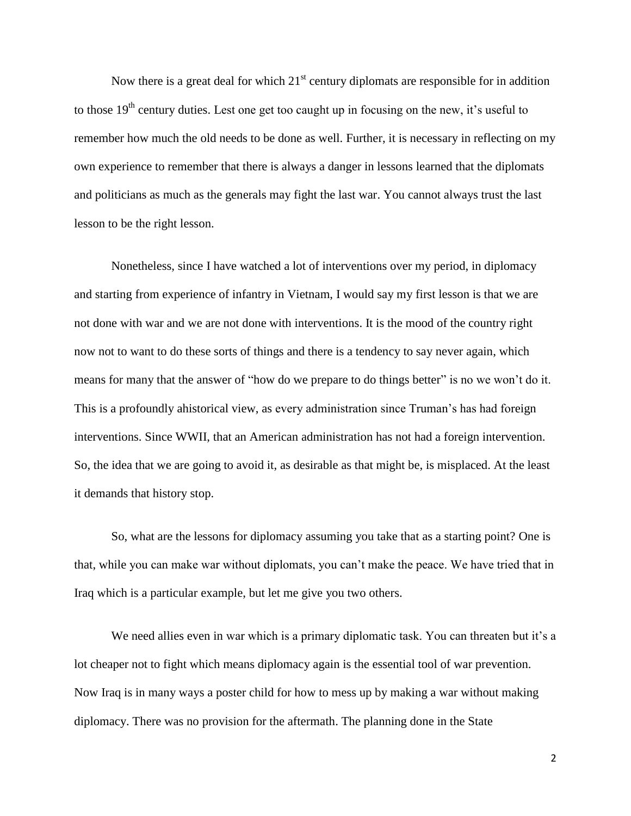Now there is a great deal for which  $21<sup>st</sup>$  century diplomats are responsible for in addition to those  $19<sup>th</sup>$  century duties. Lest one get too caught up in focusing on the new, it's useful to remember how much the old needs to be done as well. Further, it is necessary in reflecting on my own experience to remember that there is always a danger in lessons learned that the diplomats and politicians as much as the generals may fight the last war. You cannot always trust the last lesson to be the right lesson.

Nonetheless, since I have watched a lot of interventions over my period, in diplomacy and starting from experience of infantry in Vietnam, I would say my first lesson is that we are not done with war and we are not done with interventions. It is the mood of the country right now not to want to do these sorts of things and there is a tendency to say never again, which means for many that the answer of "how do we prepare to do things better" is no we won't do it. This is a profoundly ahistorical view, as every administration since Truman's has had foreign interventions. Since WWII, that an American administration has not had a foreign intervention. So, the idea that we are going to avoid it, as desirable as that might be, is misplaced. At the least it demands that history stop.

So, what are the lessons for diplomacy assuming you take that as a starting point? One is that, while you can make war without diplomats, you can't make the peace. We have tried that in Iraq which is a particular example, but let me give you two others.

We need allies even in war which is a primary diplomatic task. You can threaten but it's a lot cheaper not to fight which means diplomacy again is the essential tool of war prevention. Now Iraq is in many ways a poster child for how to mess up by making a war without making diplomacy. There was no provision for the aftermath. The planning done in the State

2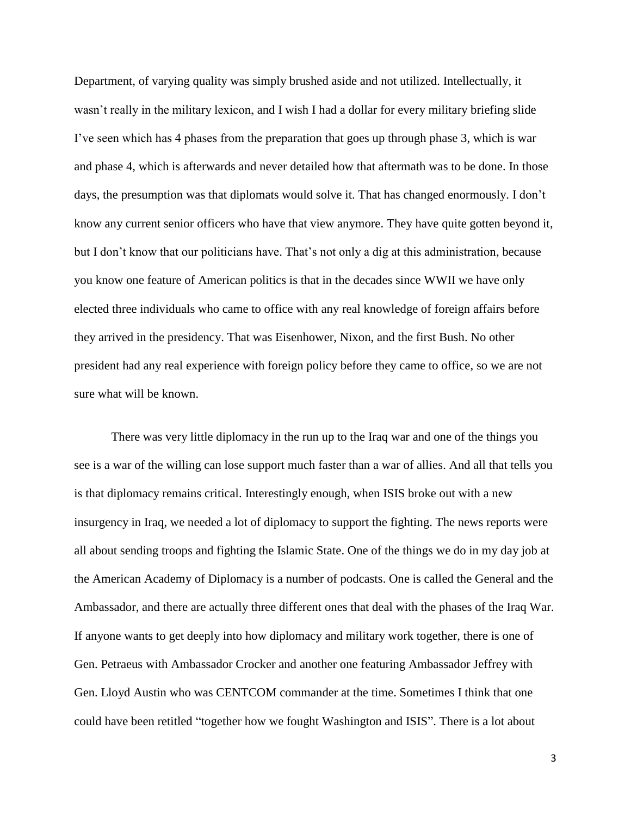Department, of varying quality was simply brushed aside and not utilized. Intellectually, it wasn't really in the military lexicon, and I wish I had a dollar for every military briefing slide I've seen which has 4 phases from the preparation that goes up through phase 3, which is war and phase 4, which is afterwards and never detailed how that aftermath was to be done. In those days, the presumption was that diplomats would solve it. That has changed enormously. I don't know any current senior officers who have that view anymore. They have quite gotten beyond it, but I don't know that our politicians have. That's not only a dig at this administration, because you know one feature of American politics is that in the decades since WWII we have only elected three individuals who came to office with any real knowledge of foreign affairs before they arrived in the presidency. That was Eisenhower, Nixon, and the first Bush. No other president had any real experience with foreign policy before they came to office, so we are not sure what will be known.

There was very little diplomacy in the run up to the Iraq war and one of the things you see is a war of the willing can lose support much faster than a war of allies. And all that tells you is that diplomacy remains critical. Interestingly enough, when ISIS broke out with a new insurgency in Iraq, we needed a lot of diplomacy to support the fighting. The news reports were all about sending troops and fighting the Islamic State. One of the things we do in my day job at the American Academy of Diplomacy is a number of podcasts. One is called the General and the Ambassador, and there are actually three different ones that deal with the phases of the Iraq War. If anyone wants to get deeply into how diplomacy and military work together, there is one of Gen. Petraeus with Ambassador Crocker and another one featuring Ambassador Jeffrey with Gen. Lloyd Austin who was CENTCOM commander at the time. Sometimes I think that one could have been retitled "together how we fought Washington and ISIS". There is a lot about

3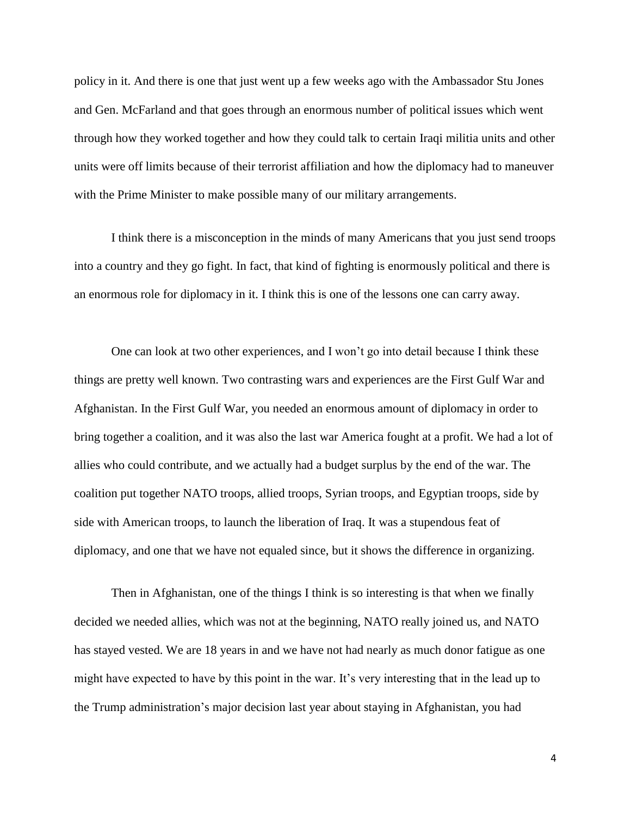policy in it. And there is one that just went up a few weeks ago with the Ambassador Stu Jones and Gen. McFarland and that goes through an enormous number of political issues which went through how they worked together and how they could talk to certain Iraqi militia units and other units were off limits because of their terrorist affiliation and how the diplomacy had to maneuver with the Prime Minister to make possible many of our military arrangements.

I think there is a misconception in the minds of many Americans that you just send troops into a country and they go fight. In fact, that kind of fighting is enormously political and there is an enormous role for diplomacy in it. I think this is one of the lessons one can carry away.

One can look at two other experiences, and I won't go into detail because I think these things are pretty well known. Two contrasting wars and experiences are the First Gulf War and Afghanistan. In the First Gulf War, you needed an enormous amount of diplomacy in order to bring together a coalition, and it was also the last war America fought at a profit. We had a lot of allies who could contribute, and we actually had a budget surplus by the end of the war. The coalition put together NATO troops, allied troops, Syrian troops, and Egyptian troops, side by side with American troops, to launch the liberation of Iraq. It was a stupendous feat of diplomacy, and one that we have not equaled since, but it shows the difference in organizing.

Then in Afghanistan, one of the things I think is so interesting is that when we finally decided we needed allies, which was not at the beginning, NATO really joined us, and NATO has stayed vested. We are 18 years in and we have not had nearly as much donor fatigue as one might have expected to have by this point in the war. It's very interesting that in the lead up to the Trump administration's major decision last year about staying in Afghanistan, you had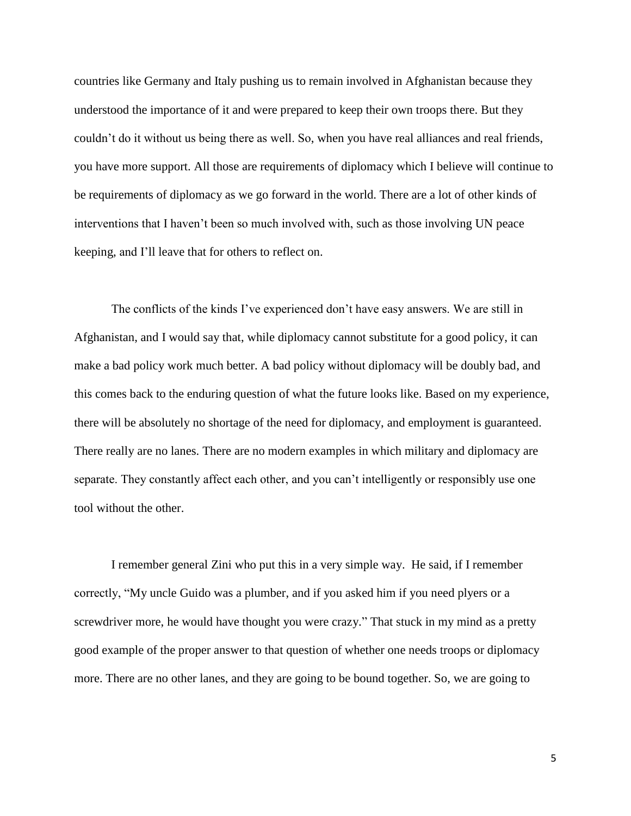countries like Germany and Italy pushing us to remain involved in Afghanistan because they understood the importance of it and were prepared to keep their own troops there. But they couldn't do it without us being there as well. So, when you have real alliances and real friends, you have more support. All those are requirements of diplomacy which I believe will continue to be requirements of diplomacy as we go forward in the world. There are a lot of other kinds of interventions that I haven't been so much involved with, such as those involving UN peace keeping, and I'll leave that for others to reflect on.

The conflicts of the kinds I've experienced don't have easy answers. We are still in Afghanistan, and I would say that, while diplomacy cannot substitute for a good policy, it can make a bad policy work much better. A bad policy without diplomacy will be doubly bad, and this comes back to the enduring question of what the future looks like. Based on my experience, there will be absolutely no shortage of the need for diplomacy, and employment is guaranteed. There really are no lanes. There are no modern examples in which military and diplomacy are separate. They constantly affect each other, and you can't intelligently or responsibly use one tool without the other.

I remember general Zini who put this in a very simple way. He said, if I remember correctly, "My uncle Guido was a plumber, and if you asked him if you need plyers or a screwdriver more, he would have thought you were crazy." That stuck in my mind as a pretty good example of the proper answer to that question of whether one needs troops or diplomacy more. There are no other lanes, and they are going to be bound together. So, we are going to

5